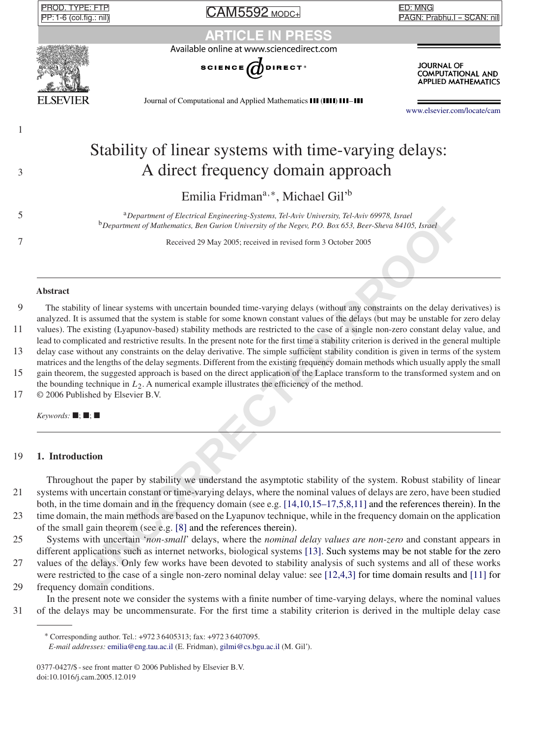**PROD. TYPE: FTP** PP: 1-6 (col.fig.: nil) CAM5592 MODC+

**САМ5592 морс+** 

ED: MNG PAGN: Prabhu.I - SCAN: nil PAGN: Prabhu.I -- SCAN: nil

# **CLE IN P**



1

Available online at www.sciencedirect.com



**JOURNAL OF COMPUTATIONAL AND APPLIED MATHEMATICS** 

Journal of Computational and Applied Mathematics **III (IIII) III-III** 

[www.elsevier.com/locate/cam](http://www.elsevier.com/locate/cam)

# Stability of linear systems with time-varying delays: <sup>3</sup> A direct frequency domain approach

Emilia Fridmana*,*<sup>∗</sup>, Michael Gil'b

<sup>a</sup> 5 *Department of Electrical Engineering-Systems, Tel-Aviv University, Tel-Aviv 69978, Israel* <sup>b</sup>*Department of Mathematics, Ben Gurion University of the Negev, P.O. Box 653, Beer-Sheva 84105, Israel*

7 Received 29 May 2005; received in revised form 3 October 2005

### **Abstract**

9 The stability of linear systems with uncertain bounded time-varying delays (without any constraints on the delay derivatives) is analyzed. It is assumed that the system is stable for some known constant values of the delays (but may be unstable for zero delay

11 values). The existing (Lyapunov-based) stability methods are restricted to the case of a single non-zero constant delay value, and lead to complicated and restrictive results. In the present note for the first time a stability criterion is derived in the general multiple

13 delay case without any constraints on the delay derivative. The simple sufficient stability condition is given in terms of the system matrices and the lengths of the delay segments. Different from the existing frequency domain methods which usually apply the small

15 gain theorem, the suggested approach is based on the direct application of the Laplace transform to the transformed system and on the bounding technique in *L*2. A numerical example illustrates the efficiency of the method.

17 © 2006 Published by Elsevier B.V.

 $Keywords: \blacksquare; \blacksquare; \blacksquare$ 

# 19 **1. Introduction**

**<sup>2</sup>***Department of Lietnical Engineering-Systems, Tel-Aviv University, Tel-Aviv 0978, Lmel<br>
<sup>b</sup><i>Department of Muhematics, Ben Gurion University of the Neger, P.[O](#page-5-0). Box 633, Beer-Sheva 64105, Israel<br>
Received 29 May 2005; re* Throughout the paper by stability we understand the asymptotic stability of the system. Robust stability of linear 21 systems with uncertain constant or time-varying delays, where the nominal values of delays are zero, have been studied both, in the time domain and in the frequency domain (see e.g. [14,10,15–17,5,8,11] and the references therein). In the

23 time domain, the main methods are based on the Lyapunov technique, while in the frequency domain on the application of the small gain theorem (see e.g. [8] and the references therein).

25 Systems with uncertain '*non-small*' delays, where the *nominal delay values are non-zero* and constant appears in different applications such as internet networks, biological systems [13]. Such systems may be not stable for the zero

27 values of the delays. Only few works have been devoted to stability analysis of such systems and all of these works were restricted to the case of a single non-zero nominal delay value: see [12,4,3] for time domain results and [\[11\]](#page-5-0) for

29 frequency domain conditions.

In the present note we consider the systems with a finite number of time-varying delays, where the nominal values 31 of the delays may be uncommensurate. For the first time a stability criterion is derived in the multiple delay case

*E-mail addresses:* [emilia@eng.tau.ac.il](mailto:emilia@eng.tau.ac.il) (E. Fridman), [gilmi@cs.bgu.ac.il](mailto:gilmi@cs.bgu.ac.il) (M. Gil').

<sup>∗</sup> Corresponding author. Tel.: +972 3 6405313; fax: +972 3 6407095.

<sup>0377-0427/\$ -</sup> see front matter © 2006 Published by Elsevier B.V. doi:10.1016/j.cam.2005.12.019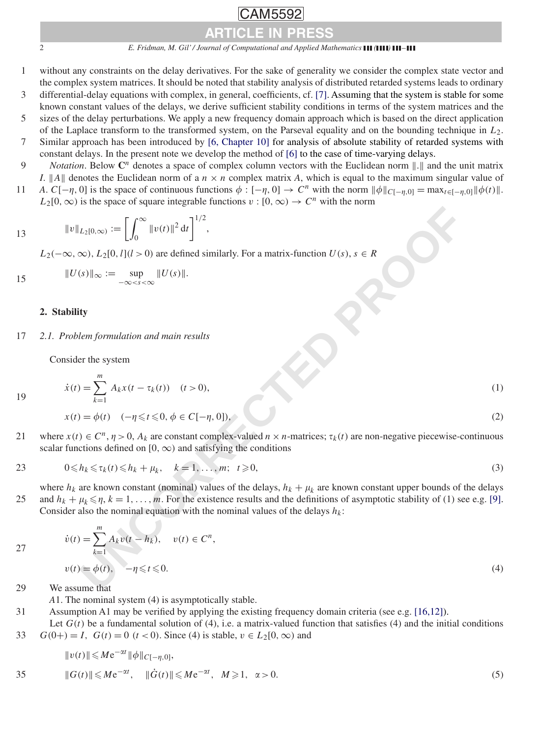2 *E. Fridman, M. Gil' / Journal of Computational and Applied Mathematics* **(111) 111-111** ARTICLE IN PRESS

 $\overline{\phantom{a}}$ 

AM5592

- 1 without any constraints on the delay derivatives. For the sake of generality we consider the complex state vector and the complex system matrices. It should be noted that stability analysis of distributed retarded systems leads to ordinary
- 3 differential-delay equations with complex, in general, coefficients, cf. [\[7\].](#page-5-0) Assuming that the system is stable for some known constant values of the delays, we derive sufficient stability conditions in terms of the system matrices and the
- 5 sizes of the delay perturbations. We apply a new frequency domain approach which is based on the direct application of the Laplace transform to the transformed system, on the Parseval equality and on the bounding technique in *L*2.
- 7 Similar approach has been introduced by [\[6, Chapter 10\]](#page-5-0) for analysis of absolute stability of retarded systems with constant delays. In the present note we develop the method of [\[6\]](#page-5-0) to the case of time-varying delays.
- *Notation*. Below  $\mathbb{C}^n$  denotes a space of complex column vectors with the Euclidean norm  $\| \cdot \|$  and the unit matrix *I*.  $||A||$  denotes the Euclidean norm of a  $n \times n$  complex matrix *A*, which is equal to the maximum singular value of
- *A*. *C*[−*η*, 0] is the space of continuous functions  $\phi$  : [−*η*, 0] → *C<sup>n</sup>* with the norm  $\|\phi\|_{C[-\eta,0]} = \max_{t \in [-\eta,0]} \|\phi(t)\|$ .  $L_2[0,\infty)$  is the space of square integrable functions  $v:[0,\infty) \to C^n$  with the norm

13 
$$
||v||_{L_2[0,\infty)} := \left[\int_0^\infty ||v(t)||^2 dt\right]^{1/2},
$$

*L*<sub>2</sub>(−∞, ∞), *L*<sub>2</sub>[0*, l*](*l* > 0) are defined similarly. For a matrix-function *U*(*s*), *s* ∈ *R* 

$$
||U(s)||_{\infty} := \sup_{-\infty < s < \infty} ||U(s)||.
$$

# **2. Stability**

19

17 *2.1. Problem formulation and main results*

Consider the system

$$
\dot{x}(t) = \sum_{k=1}^{m} A_k x(t - \tau_k(t)) \quad (t > 0),
$$
\n(1)

$$
x(t) = \phi(t) \quad (-\eta \leq t \leq 0, \phi \in C[-\eta, 0]), \tag{2}
$$

21 where  $x(t) \in C^n$ ,  $\eta > 0$ ,  $A_k$  are constant complex-valued  $n \times n$ -matrices;  $\tau_k(t)$  are non-negative piecewise-continuous scalar functions defined on  $[0, \infty)$  and satisfying the conditions

$$
23 \t\t 0 \le h_k \le \tau_k(t) \le h_k + \mu_k, \quad k = 1, \dots, m; \quad t \ge 0,
$$
\n
$$
(3)
$$

where  $h_k$  are known constant (nominal) values of the delays,  $h_k + \mu_k$  are known constant upper bounds of the delays 25 and  $h_k + \mu_k \le \eta$ ,  $k = 1, \ldots, m$ . For the existence results and the definitions of asymptotic stability of (1) see e.g. [\[9\].](#page-5-0) Consider also the nominal equation with the nominal values of the delays  $h_k$ :

13 
$$
||v||_{L_2[0,\infty)} := \left[\int_0^\infty ||v(t)||^2 dt\right]^{1/2},
$$
  
\n $L_2(-\infty, \infty), L_2[0, l](l > 0)$  are defined similarly. For a matrix-function  $U(s), s \in R$   
\n
$$
||U(s)||_{\infty} := \sup_{-\infty < s < \infty} ||U(s)||.
$$
  
\n2. Stability  
\n2. Stability  
\n2. Stability  
\n2. It is a system  
\n
$$
\dot{x}(t) = \sum_{k=1}^m A_k x(t - \tau_k(t)) \quad (t > 0),
$$
  
\n
$$
x(t) = \phi(t) \quad (-\eta \le t \le 0, \phi \in C[-\eta, 0]),
$$
  
\n
$$
x(t) = \phi(t) \quad (-\eta \le t \le 0, \phi \in C[-\eta, 0]),
$$
  
\n
$$
x(t) = \phi(t) \quad (-\eta \le t \le 0, \phi \in C[-\eta, 0]),
$$
  
\n
$$
x(t) = \phi(t) \quad (-\eta \le t \le 0, \phi \in C[-\eta, 0]),
$$
  
\n
$$
x = 1, ..., m; t \ge 0,
$$
  
\n
$$
x = 1, ..., m; t \ge 0,
$$
  
\n
$$
x = 1, ..., m; t \ge 0,
$$
  
\n
$$
x = 1, ..., m; t \ge 0,
$$
  
\n
$$
x = 1, ..., m; t \ge 0,
$$
  
\n
$$
x = 1, ..., m; t \ge 0,
$$
  
\n
$$
x = 1, ..., m; t \ge 0,
$$
  
\n
$$
x = 1, ..., m; t \ge 0,
$$
  
\n
$$
y(t) = \sum_{k=1}^m A_k v(t - h_k), \quad v(t) \in C^n,
$$
  
\n
$$
v(t) = \phi(t), \quad -\eta \le t \le 0.
$$
  
\n29 We assume that

29 We assume that

*A*1. The nominal system (4) is asymptotically stable.

31 Assumption A1 may be verified by applying the existing frequency domain criteria (see e.g. [16,12]).

Let  $G(t)$  be a fundamental solution of (4), i.e. a matrix-valued function that satisfies (4) and the initial conditions 33 *G*(0+) = *I*, *G*(*t*) = 0 (*t* < 0). Since (4) is stable,  $v \in L_2[0, \infty)$  and

$$
||v(t)|| \leqslant Me^{-\alpha t} ||\phi||_{C[-\eta,0]},
$$

35 
$$
||G(t)|| \le Me^{-\alpha t}
$$
,  $||\dot{G}(t)|| \le Me^{-\alpha t}$ ,  $M \ge 1$ ,  $\alpha > 0$ . (5)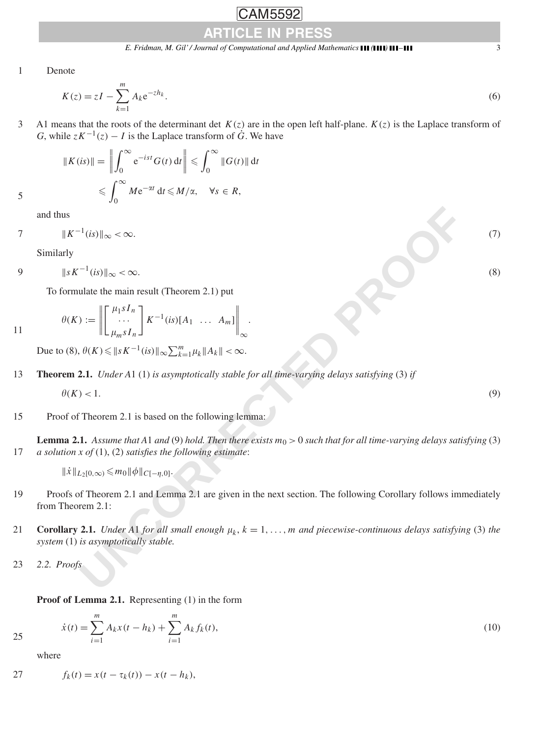$\overline{\phantom{a}}$ 

AM5592

1 Denote

$$
K(z) = zI - \sum_{k=1}^{m} A_k e^{-zh_k}.
$$
 (6)

3 A1 means that the roots of the determinant det *K(z)* are in the open left half-plane. *K(z)* is the Laplace transform of *G*, while  $zK^{-1}(z) - I$  is the Laplace transform of  $\dot{G}$ . We have

$$
\|K(is)\| = \left\|\int_0^\infty e^{-ist} G(t) dt\right\| \leqslant \int_0^\infty \|G(t)\| dt
$$
  

$$
\leqslant \int_0^\infty Me^{-\alpha t} dt \leqslant M/\alpha, \quad \forall s \in R,
$$

and thus

$$
7 \t\t\t \|K^{-1}(is)\|_{\infty} < \infty. \t\t(7)
$$

Similarly

$$
9 \t\t\t ||sK^{-1}(is)||_{\infty} < \infty.
$$

To formulate the main result (Theorem 2.1) put

$$
\theta(K) := \left\| \begin{bmatrix} \mu_1 s I_n \\ \cdots \\ \mu_m s I_n \end{bmatrix} K^{-1}(is)[A_1 \ \ldots \ A_m] \right\|_{\infty}
$$

Due to (8),  $\theta(K) \le ||sK^{-1}(is)||_{\infty} \sum_{k=1}^{m} \mu_k ||A_k|| < \infty$ .

13 **Theorem 2.1.** *Under A*1 (1) *is asymptotically stable for all time-varying delays satisfying* (3) *if*

$$
\theta(K) < 1. \tag{9}
$$

# 15 Proof of Theorem 2.1 is based on the following lemma:

<sup>1</sup>(*is*) ||<sub>∞</sub> < ∞.<br>
<sup>-1</sup>(*is*) ||<sub>∞</sub> < ∞.<br>
ulate the main result (Theorem 2.1) put<br>  $\left\| \left( \begin{array}{c} \mu_1 s I_n \\ \mu_m s I_n \end{array} \right) \right\|_K - 1$  (*is*)  $\left\| A \ldots A_m \right\|_K$ <br>  $\theta(K) \leq \|s K^{-1}(is)\|_{\infty} \sum_{k=1}^m \mu_k \|A_k\| < \infty$ .<br> **2.1.** *Unde* **Lemma 2.1.** Assume that A1 and (9) hold. Then there exists  $m_0 > 0$  such that for all time-varying delays satisfying (3) 17 *a solution x of* (1), (2) *satisfies the following estimate*:

$$
\|\dot{x}\|_{L_2[0,\infty)} \leq m_0 \|\phi\|_{C[-\eta,0]}.
$$

- 19 Proofs of Theorem 2.1 and Lemma 2.1 are given in the next section. The following Corollary follows immediately from Theorem 2.1:
- **21 Corollary 2.1.** *Under A1 for all small enough*  $\mu_k$ ,  $k = 1, \ldots, m$  *and piecewise-continuous delays satisfying* (3) *the system* (1) *is asymptotically stable.*

 $A_k f_k(t)$ , (10)

23 *2.2. Proofs*

**Proof of Lemma 2.1.** Representing (1) in the form

*i*=1

 $\dot{x}(t) = \sum_{n=1}^{m}$ *i*=1 *A<sub>k</sub>x*(*t* − *h<sub>k</sub>*) +  $\sum_{k=1}^{m}$ 

where

25

27 
$$
f_k(t) = x(t - \tau_k(t)) - x(t - h_k),
$$

11

formulate the main result (Theorem 2.1)  

$$
\theta(K) := \left\| \begin{bmatrix} \mu_1 s I_n \\ \mu_2 s I_n \end{bmatrix} \right\|_{K^{-1}(i) \cap [A]}.
$$

rrmulate the main result (Theorem 2.1) put  
\n
$$
(K) := \left\| \begin{bmatrix} \mu_1 s I_n \\ \cdots \end{bmatrix} K^{-1} (is) [A_1 \ \cdots \ A_m] \right\|.
$$

$$
\infty < \infty. \tag{8}
$$

$$
f_{\rm{max}}
$$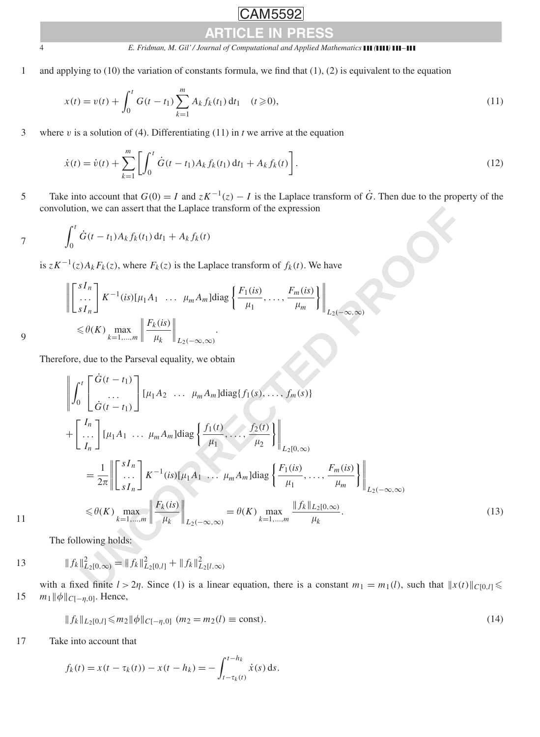# $\overline{\phantom{a}}$ ARTICLE IN PRESS

# 4 *E. Fridman, M. Gil' / Journal of Computational and Applied Mathematics ( )* –

1 and applying to (10) the variation of constants formula, we find that (1), (2) is equivalent to the equation

$$
x(t) = v(t) + \int_0^t G(t - t_1) \sum_{k=1}^m A_k f_k(t_1) dt_1 \quad (t \ge 0),
$$
\n(11)

3 where *v* is a solution of (4). Differentiating (11) in *t* we arrive at the equation

$$
\dot{x}(t) = \dot{v}(t) + \sum_{k=1}^{m} \left[ \int_0^t \dot{G}(t - t_1) A_k f_k(t_1) dt_1 + A_k f_k(t) \right].
$$
\n(12)

Take into account that  $G(0) = I$  and  $zK^{-1}(z) - I$  is the Laplace transform of  $\dot{G}$ . Then due to the property of the convolution, we can assert that the Laplace transform of the expression

7 
$$
\int_0^t \dot{G}(t-t_1) A_k f_k(t_1) dt_1 + A_k f_k(t)
$$

is  $zK^{-1}(z)A_kF_k(z)$ , where  $F_k(z)$  is the Laplace transform of  $f_k(t)$ . We have

$$
\left\| \begin{bmatrix} sI_n \\ \cdots \\ sI_n \end{bmatrix} K^{-1}(is)[\mu_1 A_1 \cdots \mu_m A_m] \text{diag} \left\{ \frac{F_1(is)}{\mu_1}, \cdots, \frac{F_m(is)}{\mu_m} \right\} \right\|_{L_2(-\infty, \infty)}
$$
\n
$$
\leq \theta(K) \max_{k=1,\dots,m} \left\| \frac{F_k(is)}{\mu_k} \right\|_{L_2(-\infty, \infty)}.
$$

Therefore, due to the Parseval equality, we obtain

convolution, we can assert that the Laplace transform of the expression  
\n
$$
\int_{0}^{T} \dot{G}(t-t_1) A_k f_k(t_1) dt_1 + A_k f_k(t)
$$
\nis  $z K^{-1}(z) A_k F_k(z)$ , where  $F_k(z)$  is the Laplace transform of  $f_k(t)$ . We have  
\n
$$
\left\| \begin{bmatrix} sI_n \\ \vdots \\ sI_n \end{bmatrix} K^{-1}(is)[\mu_1 A_1 \cdots \mu_m A_m] \text{diag} \left\{ \frac{F_1(is)}{\mu_1}, \dots, \frac{F_m(is)}{\mu_m} \right\} \right\|_{L_2(-\infty, \infty)}
$$
\n
$$
\leq \theta(K) \lim_{k=1, \dots, m} \left\| \frac{F_k(is)}{\mu_k} \right\|_{L_2(-\infty, \infty)}.
$$
\nTherefore, due to the Parseval equality, we obtain  
\n
$$
\left\| \int_{0}^{t} \begin{bmatrix} \dot{G}(t-t_1) \\ \vdots \\ \dot{G}(t-t_1) \end{bmatrix} [\mu_1 A_1 \cdots \mu_m A_m] \text{diag} \left\{ \frac{f_1(t)}{\mu_1}, \dots, \frac{f_2(t)}{\mu_2} \right\} \right\|_{L_2(0, \infty)}
$$
\n
$$
= \frac{1}{2\pi} \left\| \begin{bmatrix} sI_n \\ \vdots \\ sI_n \end{bmatrix} K^{-1}(is)[\mu_1 A_1 \cdots \mu_m A_m] \text{diag} \left\{ \frac{f_1(t)}{\mu_1}, \dots, \frac{f_2(t)}{\mu_2} \right\} \right\|_{L_2(0, \infty)}
$$
\n
$$
= \frac{1}{2\pi} \left\| \begin{bmatrix} sI_n \\ \vdots \\ sI_n \end{bmatrix} K^{-1}(is)[\mu_1 A_1 \cdots \mu_m A_m] \text{diag} \left\{ \frac{F_1(is)}{\mu_1}, \dots, \frac{F_m(is)}{\mu_m} \right\} \right\|_{L_2(-\infty, \infty)}
$$
\n
$$
\leq \theta(K) \lim_{k=1, \dots, m} \left\| \frac{F_k(is)}{\mu_k} \right\|_{L_2(0, \infty)} = \theta(K) \lim_{k=1, \dots, m} \frac{\|f_k\|_{L_2(0, \infty)}}
$$

$$
11\phantom{.0}
$$

The following holds:

13 
$$
\|f_k\|_{L_2[0,\infty)}^2 = \|f_k\|_{L_2[0,l]}^2 + \|f_k\|_{L_2[l,\infty)}^2
$$

with a fixed finite  $l > 2\eta$ . Since (1) is a linear equation, there is a constant  $m_1 = m_1(l)$ , such that  $||x(t)||_{C[0,l]} \le$ 15 *m*<sub>1</sub> $\|\phi\|_{C[-η,0]}$ . Hence,

$$
|| f_k ||_{L_2[0,l]} \le m_2 || \phi ||_{C[-\eta,0]} \quad (m_2 = m_2(l) \equiv \text{const}). \tag{14}
$$

17 Take into account that

$$
f_k(t) = x(t - \tau_k(t)) - x(t - h_k) = -\int_{t - \tau_k(t)}^{t - h_k} \dot{x}(s) \,ds.
$$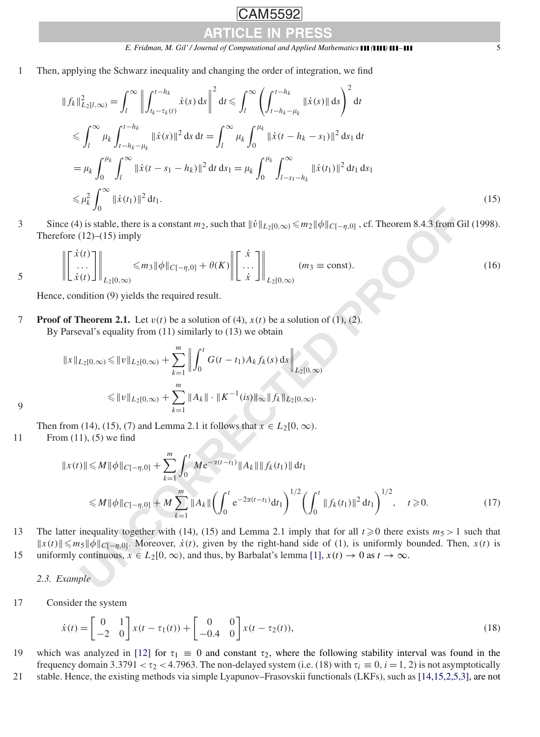*E. Fridman, M. Gil' / Journal of Computational and Applied Mathematics ( )* – 5

1 Then, applying the Schwarz inequality and changing the order of integration, we find

$$
||f_k||_{L_2[I,\infty)}^2 = \int_l^{\infty} \left| \int_{t_k - \tau_k(t)}^{t - h_k} \dot{x}(s) \, ds \right|^2 dt \le \int_l^{\infty} \left( \int_{t - h_k - \mu_k}^{t - h_k} ||\dot{x}(s)|| \, ds \right)^2 dt
$$
  
\n
$$
\le \int_l^{\infty} \mu_k \int_{t - h_k - \mu_k}^{t - h_k} ||\dot{x}(s)||^2 \, ds \, dt = \int_l^{\infty} \mu_k \int_0^{\mu_k} ||\dot{x}(t - h_k - s_1)||^2 \, ds_1 \, dt
$$
  
\n
$$
= \mu_k \int_0^{\mu_k} \int_l^{\infty} ||\dot{x}(t - s_1 - h_k)||^2 \, dt \, ds_1 = \mu_k \int_0^{\mu_k} \int_{t - s_1 - h_k}^{\infty} ||\dot{x}(t_1)||^2 \, dt_1 \, ds_1
$$
  
\n
$$
\le \mu_k^2 \int_0^{\infty} ||\dot{x}(t_1)||^2 \, dt_1.
$$
\n(15)

Since (4) is stable, there is a constant  $m_2$ , such that  $\|\dot{v}\|_{L_2[0,\infty)} \leq m_2 \|\phi\|_{C[-\eta,0]}$ , cf. Theorem 8.4.3 from Gil (1998). Therefore  $(12)$ – $(15)$  imply

$$
\mathbb{E}\left[\left[\begin{array}{c} \dot{x}(t) \\ \dot{\ldots} \\ \dot{x}(t) \end{array}\right]\right\|_{L_2[0,\infty)} \leq m_3 \|\phi\|_{C[-\eta,0]} + \theta(K) \left\|\left[\begin{array}{c} \dot{x} \\ \dot{\ldots} \\ \dot{x} \end{array}\right]\right\|_{L_2[0,\infty)} \quad (m_3 \equiv \text{const}).\tag{16}
$$

Hence, condition (9) yields the required result.

**Proof of Theorem 2.1.** Let  $v(t)$  be a solution of (4),  $x(t)$  be a solution of (1), (2). By Parseval's equality from (11) similarly to (13) we obtain

$$
||x||_{L_2[0,\infty)} \le ||v||_{L_2[0,\infty)} + \sum_{k=1}^m \left\| \int_0^t G(t - t_1) A_k f_k(s) ds \right\|_{L_2[0,\infty)}
$$
  

$$
\le ||v||_{L_2[0,\infty)} + \sum_{k=1}^m ||A_k|| \cdot ||K^{-1}(is)||_{\infty} ||f_k||_{L_2[0,\infty)}.
$$

Then from (14), (15), (7) and Lemma 2.1 it follows that  $x \in L_2[0, \infty)$ .

11 From (11), (5) we find

$$
J_0
$$
\n
$$
C = (4) \text{ is stable, there is a constant } m_2, \text{ such that } ||\dot{v}||_{L_2[0,\infty)} \le m_2 ||\phi||_{C[-\eta,0]} \text{ , cf. Theorem 8.4.3 from Gil (1998).}
$$
\n
$$
\left\| \begin{bmatrix} \dot{x}(t) \\ \dot{x}(t) \\ \dot{x}(t) \end{bmatrix} \right\|_{L_2[0,\infty)} \le m_3 ||\phi||_{C[-\eta,0]} + \theta(K) \left\| \begin{bmatrix} \dot{x} \\ \dot{x} \\ \dot{x} \end{bmatrix} \right\|_{L_2[0,\infty)}
$$
\n
$$
P = \text{const.}
$$
\n
$$
= \text{constant.}
$$
\n
$$
C = \text{constant.}
$$
\n
$$
C = \text{constant.}
$$
\n
$$
C = \text{constant.}
$$
\n
$$
C = \text{constant.}
$$
\n
$$
C = \text{constant.}
$$
\n
$$
C = \text{constant.}
$$
\n
$$
C = \text{constant.}
$$
\n
$$
C = \text{constant.}
$$
\n
$$
C = \text{constant.}
$$
\n
$$
C = \text{constant.}
$$
\n
$$
C = \text{constant.}
$$
\n
$$
C = \text{constant.}
$$
\n
$$
C = \text{constant.}
$$
\n
$$
C = \text{constant.}
$$
\n
$$
C = \text{constant.}
$$
\n
$$
C = \text{constant.}
$$
\n
$$
C = \text{constant.}
$$
\n
$$
C = \text{constant.}
$$
\n
$$
C = \text{constant.}
$$
\n
$$
C = \text{constant.}
$$
\n
$$
C = \text{constant.}
$$
\n
$$
C = \text{constant.}
$$
\n
$$
C = \text{total.}
$$
\n
$$
C = \text{constant.}
$$
\n
$$
C = \text{total.}
$$
\n
$$
C = \text{total.}
$$
\n
$$
C = \text{constant.}
$$
\n
$$
C = \text{total.}
$$
\n
$$
C = \text{total.}
$$
\n
$$
C = \text
$$

13 The latter inequality together with (14), (15) and Lemma 2.1 imply that for all  $t \ge 0$  there exists  $m_5 > 1$  such that  $||x(t)|| \le m_5 ||\phi||_{C[-\eta,0]}$ . Moreover,  $\dot{x}(t)$ , given by the right-hand side of (1), is uniformly bounded. Then, *x*(*t*) is 15 uniformly continuous,  $x \in L_2[0, \infty)$ , and thus, by Barbalat's lemma [1],  $x(t) \to 0$  as  $t \to \infty$ .

*2.3. Example*

17 Consider the system

$$
\dot{x}(t) = \begin{bmatrix} 0 & 1 \\ -2 & 0 \end{bmatrix} x(t - \tau_1(t)) + \begin{bmatrix} 0 & 0 \\ -0.4 & 0 \end{bmatrix} x(t - \tau_2(t)),
$$
\n(18)

- 19 which was analyzed in [\[12\]](#page-5-0) for  $\tau_1 \equiv 0$  and constant  $\tau_2$ , where the following stability interval was found in the frequency domain  $3.3791 < \tau_2 < 4.7963$ . The non-delayed system (i.e. (18) with  $\tau_i \equiv 0$ ,  $i = 1, 2$ ) is not asymptotically
- 21 stable. Hence, the existing methods via simple Lyapunov–Frasovskii functionals (LKFs), such as [14,15,2,5,3], are not